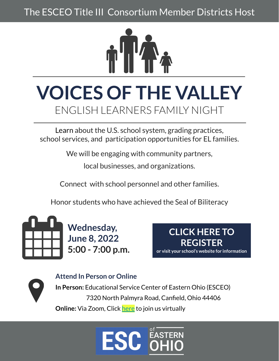The ESCEO Title III Consortium Member Districts Host



## **VOICES OF THE VALLEY** ENGLISH LEARNERS FAMILY NIGHT

Learn about the U.S. school system, grading practices, school services, and participation opportunities for EL families.

We will be engaging with community partners,

local businesses, and organizations.

Connect with school personnel and other families.

Honor students who have achieved the Seal of Biliteracy



**Wednesday, June 8, 2022 5:00 - 7:00 p.m.**

**[CLICK HERE TO](https://docs.google.com/forms/d/e/1FAIpQLSc4aaKY-UXHuiG4EOE2QSEdLl17F1gMUdNOVFtEvOcccUo48A/viewform)  REGISTER or visit your school's website for information**

**Attend In Person or Online In Person:** Educational Service Center of Eastern Ohio (ESCEO) 7320 North Palmyra Road, Canfield, Ohio 44406 **Online:** Via Zoom, Click [here](https://zoom.us/meeting/register/tJEoceGorz8uHNCmWBqDcjf_7s1D3WPgkdlL) to join us virtually